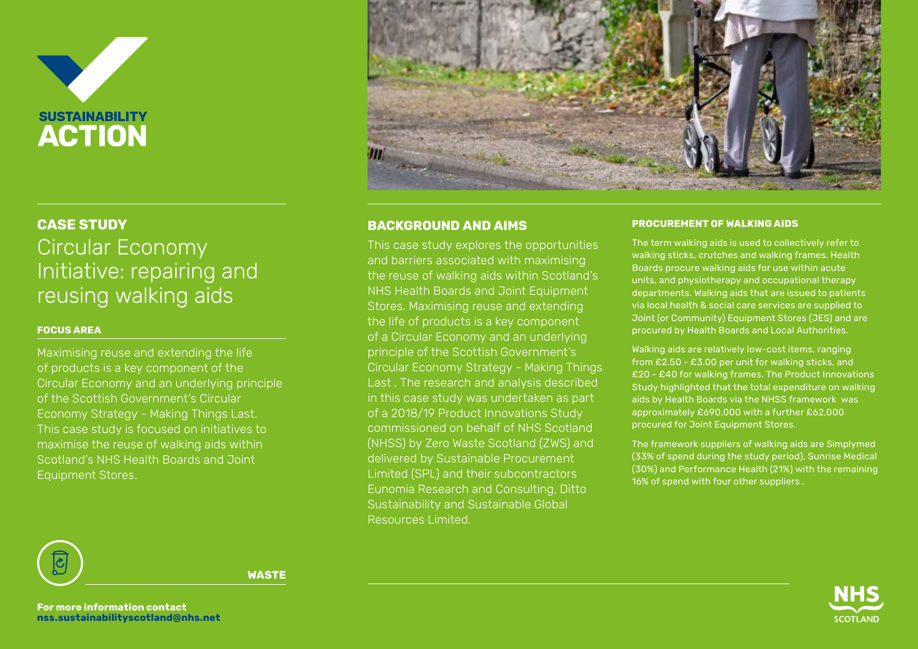

# **BACKGROUND AND AIMS CASE STUDY PROCUREMENT OF WALKING AIDS** Circular Economy Initiative: repairing and reusing walking aids

## **FOCUS AREA**

Maximising reuse and extending the life of products is a key component of the Circular Economy and an underlying principle of the Scottish Government's Circular Economy Strategy - Making Things Last. This case study is focused on initiatives to maximise the reuse of walking aids within Scotland's NHS Health Boards and Joint Equipment Stores.



This case study explores the opportunities and barriers associated with maximising the reuse of walking aids within Scotland's NHS Health Boards and Joint Equipment Stores. Maximising reuse and extending the life of products is a key component of a Circular Economy and an underlying principle of the Scottish Government's Circular Economy Strategy - Making Things Last . The research and analysis described in this case study was undertaken as part of a 2018/19 Product Innovations Study commissioned on behalf of NHS Scotland (NHSS) by Zero Waste Scotland (ZWS) and delivered by Sustainable Procurement Limited (SPL) and their subcontractors Eunomia Research and Consulting, Ditto Sustainability and Sustainable Global Resources Limited.

The term walking aids is used to collectively refer to walking sticks, crutches and walking frames. Health Boards procure walking aids for use within acute units, and physiotherapy and occupational therapy departments. Walking aids that are issued to patients via local health & social care services are supplied to Joint (or Community) Equipment Stores (JES) and are procured by Health Boards and Local Authorities.

Walking aids are relatively low-cost items, ranging from £2.50 - £3.00 per unit for walking sticks, and £20 - £40 for walking frames. The Product Innovations Study highlighted that the total expenditure on walking aids by Health Boards via the NHSS framework was approximately £690,000 with a further £62,000 procured for Joint Equipment Stores.

The framework suppliers of walking aids are Simplymed (33% of spend during the study period), Sunrise Medical (30%) and Performance Health (21%) with the remaining 16% of spend with four other suppliers .



**WASTE**

**For more information contact nss.sustainabilityscotland@nhs.net**

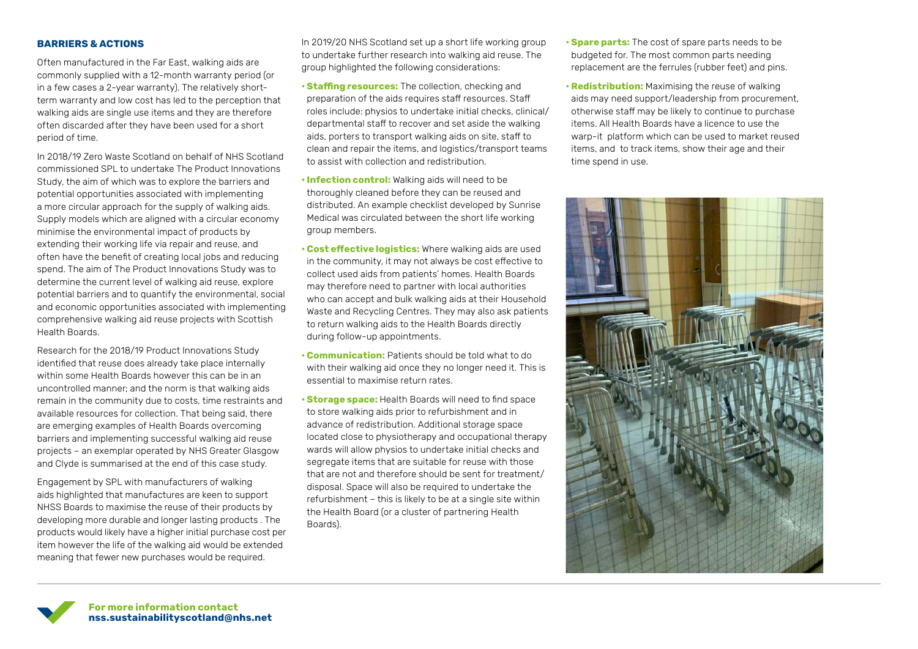### **BARRIERS & ACTIONS**

Often manufactured in the Far East, walking aids are commonly supplied with a 12-month warranty period (or in a few cases a 2-year warranty). The relatively shortterm warranty and low cost has led to the perception that walking aids are single use items and they are therefore often discarded after they have been used for a short period of time.

In 2018/19 Zero Waste Scotland on behalf of NHS Scotland commissioned SPL to undertake The Product Innovations Study, the aim of which was to explore the barriers and potential opportunities associated with implementing a more circular approach for the supply of walking aids. Supply models which are aligned with a circular economy minimise the environmental impact of products by extending their working life via repair and reuse, and often have the benefit of creating local jobs and reducing spend. The aim of The Product Innovations Study was to determine the current level of walking aid reuse, explore potential barriers and to quantify the environmental, social and economic opportunities associated with implementing comprehensive walking aid reuse projects with Scottish Health Boards.

Research for the 2018/19 Product Innovations Study identified that reuse does already take place internally within some Health Boards however this can be in an uncontrolled manner; and the norm is that walking aids remain in the community due to costs, time restraints and available resources for collection. That being said, there are emerging examples of Health Boards overcoming barriers and implementing successful walking aid reuse projects – an exemplar operated by NHS Greater Glasgow and Clyde is summarised at the end of this case study.

Engagement by SPL with manufacturers of walking aids highlighted that manufactures are keen to support NHSS Boards to maximise the reuse of their products by developing more durable and longer lasting products . The products would likely have a higher initial purchase cost per item however the life of the walking aid would be extended meaning that fewer new purchases would be required.

In 2019/20 NHS Scotland set up a short life working group to undertake further research into walking aid reuse. The group highlighted the following considerations:

- **Staffing resources:** The collection, checking and preparation of the aids requires staff resources. Staff roles include: physios to undertake initial checks, clinical/ departmental staff to recover and set aside the walking aids, porters to transport walking aids on site, staff to clean and repair the items, and logistics/transport teams to assist with collection and redistribution.
- **Infection control:** Walking aids will need to be thoroughly cleaned before they can be reused and distributed. An example checklist developed by Sunrise Medical was circulated between the short life working group members.
- **Cost effective logistics:** Where walking aids are used in the community, it may not always be cost effective to collect used aids from patients' homes. Health Boards may therefore need to partner with local authorities who can accept and bulk walking aids at their Household Waste and Recycling Centres. They may also ask patients to return walking aids to the Health Boards directly during follow-up appointments.
- **Communication:** Patients should be told what to do with their walking aid once they no longer need it. This is essential to maximise return rates.
- **Storage space:** Health Boards will need to find space to store walking aids prior to refurbishment and in advance of redistribution. Additional storage space located close to physiotherapy and occupational therapy wards will allow physios to undertake initial checks and segregate items that are suitable for reuse with those that are not and therefore should be sent for treatment/ disposal. Space will also be required to undertake the refurbishment – this is likely to be at a single site within the Health Board (or a cluster of partnering Health Boards).
- **Spare parts:** The cost of spare parts needs to be budgeted for. The most common parts needing replacement are the ferrules (rubber feet) and pins.
- **Redistribution:** Maximising the reuse of walking aids may need support/leadership from procurement, otherwise staff may be likely to continue to purchase items. All Health Boards have a licence to use the warp-it platform which can be used to market reused items, and to track items, show their age and their time spend in use.



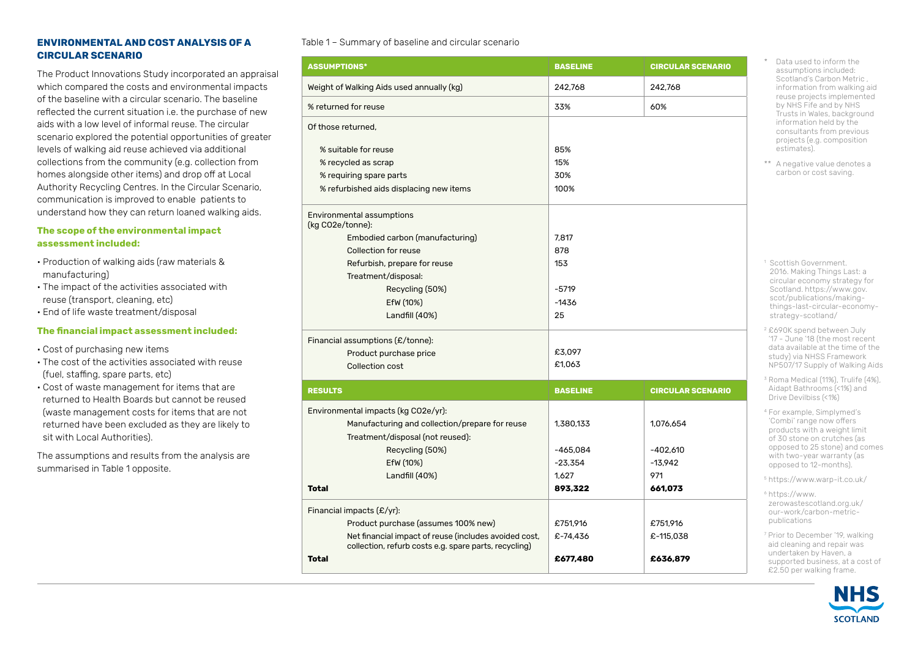### **ENVIRONMENTAL AND COST ANALYSIS OF A CIRCULAR SCENARIO**

The Product Innovations Study incorporated an appraisal which compared the costs and environmental impacts of the baseline with a circular scenario. The baseline reflected the current situation i.e. the purchase of new aids with a low level of informal reuse. The circular scenario explored the potential opportunities of greater levels of walking aid reuse achieved via additional collections from the community (e.g. collection from homes alongside other items) and drop off at Local Authority Recycling Centres. In the Circular Scenario, communication is improved to enable patients to understand how they can return loaned walking aids.

#### **The scope of the environmental impact assessment included:**

- Production of walking aids (raw materials & manufacturing)
- The impact of the activities associated with reuse (transport, cleaning, etc)
- End of life waste treatment/disposal

### **The financial impact assessment included:**

- Cost of purchasing new items
- The cost of the activities associated with reuse (fuel, staffing, spare parts, etc)
- Cost of waste management for items that are returned to Health Boards but cannot be reused (waste management costs for items that are not returned have been excluded as they are likely to sit with Local Authorities).

The assumptions and results from the analysis are summarised in Table 1 opposite.

#### Table 1 – Summary of baseline and circular scenario

| <b>ASSUMPTIONS*</b>                                   | <b>BASELINE</b> | <b>CIRCULAR SCENARIO</b> |
|-------------------------------------------------------|-----------------|--------------------------|
| Weight of Walking Aids used annually (kg)             | 242.768         | 242.768                  |
| % returned for reuse                                  | 33%             | 60%                      |
| Of those returned.                                    |                 |                          |
| % suitable for reuse                                  | 85%             |                          |
| % recycled as scrap                                   | 15%             |                          |
| % requiring spare parts                               | 30%             |                          |
| % refurbished aids displacing new items               | 100%            |                          |
| Environmental assumptions<br>(kg CO2e/tonne):         |                 |                          |
| Embodied carbon (manufacturing)                       | 7,817           |                          |
| <b>Collection for reuse</b>                           | 878             |                          |
| Refurbish, prepare for reuse                          | 153             |                          |
| Treatment/disposal:                                   |                 |                          |
| Recycling (50%)                                       | $-5719$         |                          |
| EfW (10%)                                             | $-1436$         |                          |
| Landfill (40%)                                        | 25              |                          |
|                                                       |                 |                          |
| Financial assumptions (£/tonne):                      |                 |                          |
| Product purchase price                                | £3,097          |                          |
| Collection cost                                       | £1,063          |                          |
| <b>RESULTS</b>                                        | <b>BASELINE</b> | <b>CIRCULAR SCENARIO</b> |
| Environmental impacts (kg CO2e/yr):                   |                 |                          |
| Manufacturing and collection/prepare for reuse        | 1.380.133       | 1.076.654                |
| Treatment/disposal (not reused):                      |                 |                          |
| Recycling (50%)                                       | $-465,084$      | $-402,610$               |
| EfW (10%)                                             | $-23,354$       | $-13,942$                |
| Landfill (40%)                                        | 1,627           | 971                      |
| <b>Total</b>                                          | 893,322         | 661,073                  |
| Financial impacts $(E/yr)$ :                          |                 |                          |
| Product purchase (assumes 100% new)                   | £751,916        | £751,916                 |
| Net financial impact of reuse (includes avoided cost, | £-74,436        | £-115,038                |
| collection, refurb costs e.g. spare parts, recycling) |                 |                          |
| <b>Total</b>                                          | £677,480        | £636,879                 |

\* Data used to inform the assumptions included: Scotland's Carbon Metric , information from walking aid reuse projects implemented by NHS Fife and by NHS Trusts in Wales, background information held by the consultants from previous projects (e.g. composition estimates).

\*\* A negative value denotes a carbon or cost saving.

1 Scottish Government. 2016. Making Things Last: a circular economy strategy for Scotland. https://www.gov. scot/publications/makingthings-last-circular-economystrategy-scotland/

<sup>2</sup> £690K spend between July '17 - June '18 (the most recent data available at the time of the study) via NHSS Framework NP507/17 Supply of Walking Aids

<sup>3</sup> Roma Medical (11%), Trulife (4%), Aidapt Bathrooms (<1%) and Drive Devilbiss (<1%)

<sup>4</sup> For example, Simplymed's 'Combi' range now offers products with a weight limit of 30 stone on crutches (as opposed to 25 stone) and comes with two-year warranty (as opposed to 12-months).

5 https://www.warp-it.co.uk/

<sup>6</sup> https://www. zerowastescotland.org.uk/ our-work/carbon-metricpublications

<sup>7</sup> Prior to December '19, walking aid cleaning and repair was undertaken by Haven, a supported business, at a cost of £2.50 per walking frame.